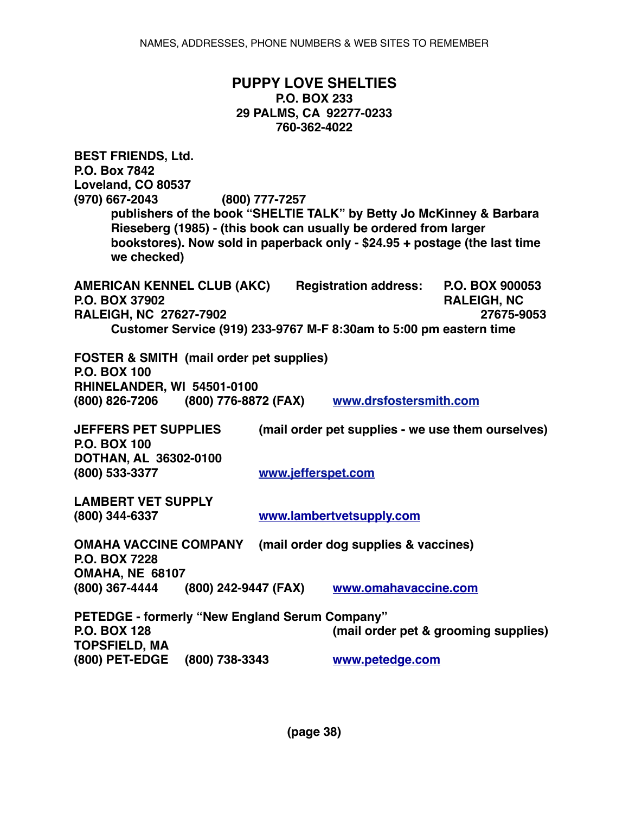## **PUPPY LOVE SHELTIES P.O. BOX 233 29 PALMS, CA 92277-0233 760-362-4022**

**BEST FRIENDS, Ltd. P.O. Box 7842 Loveland, CO 80537 (970) 667-2043 (800) 777-7257 publishers of the book "SHELTIE TALK" by Betty Jo McKinney & Barbara Rieseberg (1985) - (this book can usually be ordered from larger bookstores). Now sold in paperback only - \$24.95 + postage (the last time we checked) AMERICAN KENNEL CLUB (AKC) Registration address: P.O. BOX 900053 P.O. BOX 37902 RALEIGH, NC RALEIGH, NC 27627-7902 27675-9053 Customer Service (919) 233-9767 M-F 8:30am to 5:00 pm eastern time FOSTER & SMITH (mail order pet supplies) P.O. BOX 100 RHINELANDER, WI 54501-0100 (800) 826-7206 (800) 776-8872 (FAX) www.drsfostersmith.com JEFFERS PET SUPPLIES (mail order pet supplies - we use them ourselves) P.O. BOX 100 DOTHAN, AL 36302-0100 (800) 533-3377 www.jefferspet.com LAMBERT VET SUPPLY (800) 344-6337 [www.lambertvetsupply.com](http://www.lambertvetsupply.com) OMAHA VACCINE COMPANY (mail order dog supplies & vaccines) P.O. BOX 7228 OMAHA, NE 68107 (800) 367-4444 (800) 242-9447 (FAX) [www.omahavaccine.com](http://www.omahavaccine.com) PETEDGE - formerly "New England Serum Company"** (mail order pet & grooming supplies) **TOPSFIELD, MA (800) PET-EDGE (800) 738-3343 [www.petedge.com](http://www.petedge.com)**